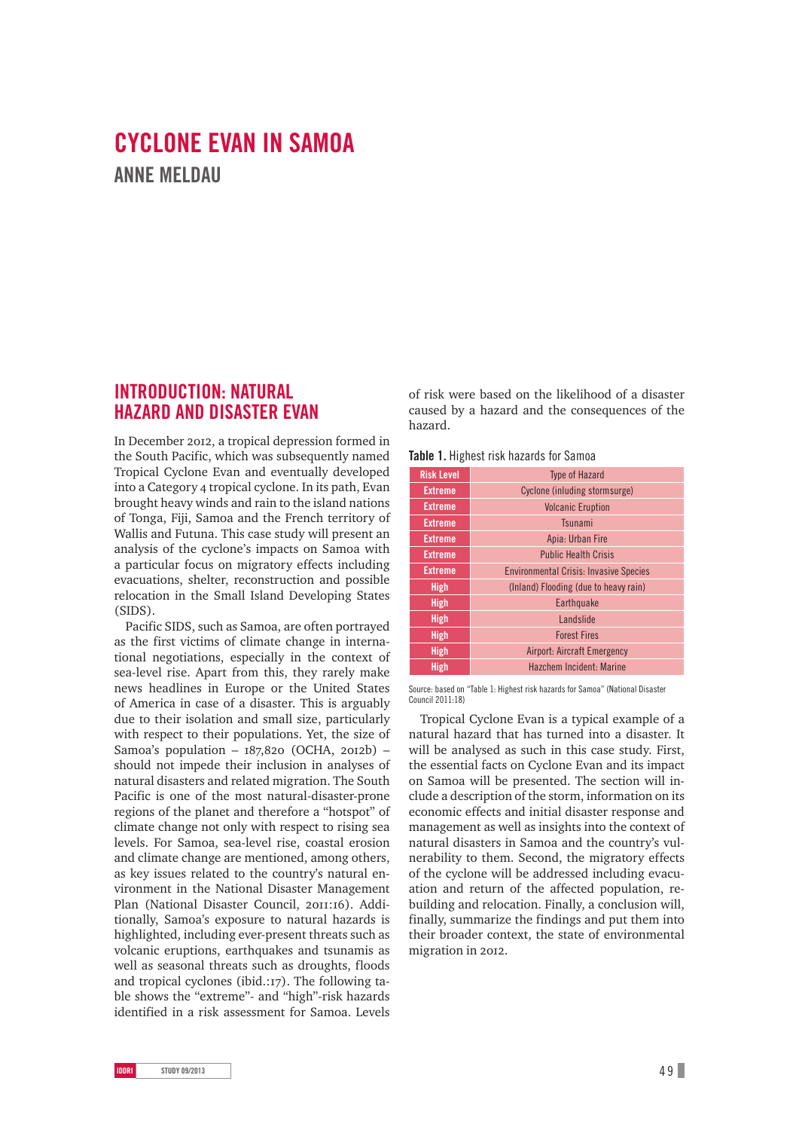# **CYCLONE EVAN IN SAMOA ANNE MELDAU**

## **INTRODUCTION: NATURAL HAZARD AND DISASTER EVAN**

In December 2012, a tropical depression formed in the South Pacific, which was subsequently named Tropical Cyclone Evan and eventually developed into a Category 4 tropical cyclone. In its path, Evan brought heavy winds and rain to the island nations of Tonga, Fiji, Samoa and the French territory of Wallis and Futuna. This case study will present an analysis of the cyclone's impacts on Samoa with a particular focus on migratory effects including evacuations, shelter, reconstruction and possible relocation in the Small Island Developing States (SIDS).

Pacific SIDS, such as Samoa, are often portrayed as the first victims of climate change in international negotiations, especially in the context of sea-level rise. Apart from this, they rarely make news headlines in Europe or the United States of America in case of a disaster. This is arguably due to their isolation and small size, particularly with respect to their populations. Yet, the size of Samoa's population -  $187,820$  (OCHA, 2012b) should not impede their inclusion in analyses of natural disasters and related migration. The South Pacific is one of the most natural-disaster-prone regions of the planet and therefore a "hotspot" of climate change not only with respect to rising sea levels. For Samoa, sea-level rise, coastal erosion and climate change are mentioned, among others, as key issues related to the country's natural environment in the National Disaster Management Plan (National Disaster Council, 2011:16). Additionally, Samoa's exposure to natural hazards is highlighted, including ever-present threats such as volcanic eruptions, earthquakes and tsunamis as well as seasonal threats such as droughts, floods and tropical cyclones (ibid.:17). The following table shows the "extreme"- and "high"-risk hazards identified in a risk assessment for Samoa. Levels

of risk were based on the likelihood of a disaster caused by a hazard and the consequences of the hazard.

| <b>Risk Level</b> | <b>Type of Hazard</b>                         |
|-------------------|-----------------------------------------------|
| <b>Extreme</b>    | Cyclone (inluding stormsurge)                 |
| <b>Extreme</b>    | <b>Volcanic Eruption</b>                      |
| <b>Extreme</b>    | Tsunami                                       |
| <b>Extreme</b>    | Apia: Urban Fire                              |
| <b>Extreme</b>    | <b>Public Health Crisis</b>                   |
| <b>Extreme</b>    | <b>Environmental Crisis: Invasive Species</b> |
| <b>High</b>       | (Inland) Flooding (due to heavy rain)         |
| <b>High</b>       | Earthquake                                    |
| <b>High</b>       | <b>Landslide</b>                              |
| <b>High</b>       | <b>Forest Fires</b>                           |
| <b>High</b>       | <b>Airport: Aircraft Emergency</b>            |
| <b>High</b>       | Hazchem Incident: Marine                      |
|                   |                                               |

Source: based on "Table 1: Highest risk hazards for Samoa" (National Disaster Council 2011:18)

Tropical Cyclone Evan is a typical example of a natural hazard that has turned into a disaster. It will be analysed as such in this case study. First, the essential facts on Cyclone Evan and its impact on Samoa will be presented. The section will include a description of the storm, information on its economic effects and initial disaster response and management as well as insights into the context of natural disasters in Samoa and the country's vulnerability to them. Second, the migratory effects of the cyclone will be addressed including evacuation and return of the affected population, rebuilding and relocation. Finally, a conclusion will, finally, summarize the findings and put them into their broader context, the state of environmental migration in 2012.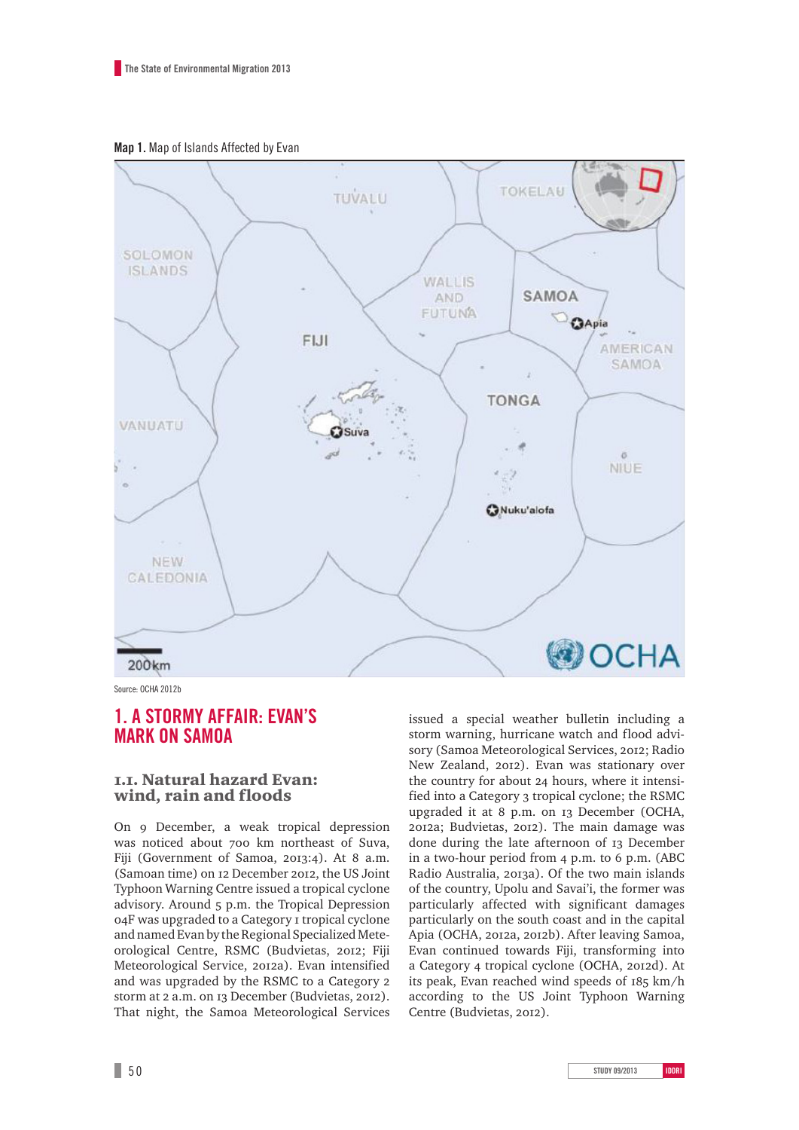**Map 1.** Map of Islands Affected by Evan



Source: OCHA 2012b

## **1. A STORMY AFFAIR: EVAN'S MARK ON SAMOA**

### .. Natural hazard Evan: wind, rain and floods

On 9 December, a weak tropical depression was noticed about 700 km northeast of Suva, Fiji (Government of Samoa, 2013:4). At 8 a.m. (Samoan time) on 12 December 2012, the US Joint Typhoon Warning Centre issued a tropical cyclone advisory. Around 5 p.m. the Tropical Depression o4F was upgraded to a Category I tropical cyclone and named Evan by the Regional Specialized Meteorological Centre, RSMC (Budvietas, 2012; Fiji Meteorological Service, 2012a). Evan intensified and was upgraded by the RSMC to a Category storm at 2 a.m. on 13 December (Budvietas, 2012). That night, the Samoa Meteorological Services

issued a special weather bulletin including a storm warning, hurricane watch and flood advisory (Samoa Meteorological Services, 2012; Radio New Zealand, 2012). Evan was stationary over the country for about 24 hours, where it intensified into a Category 3 tropical cyclone; the RSMC upgraded it at 8 p.m. on 13 December (OCHA, 2012a; Budvietas, 2012). The main damage was done during the late afternoon of 13 December in a two-hour period from 4 p.m. to 6 p.m. (ABC Radio Australia, 2013a). Of the two main islands of the country, Upolu and Savai'i, the former was particularly affected with significant damages particularly on the south coast and in the capital Apia (OCHA, 2012a, 2012b). After leaving Samoa, Evan continued towards Fiji, transforming into a Category 4 tropical cyclone (OCHA, 2012d). At its peak, Evan reached wind speeds of 185 km/h according to the US Joint Typhoon Warning Centre (Budvietas, 2012).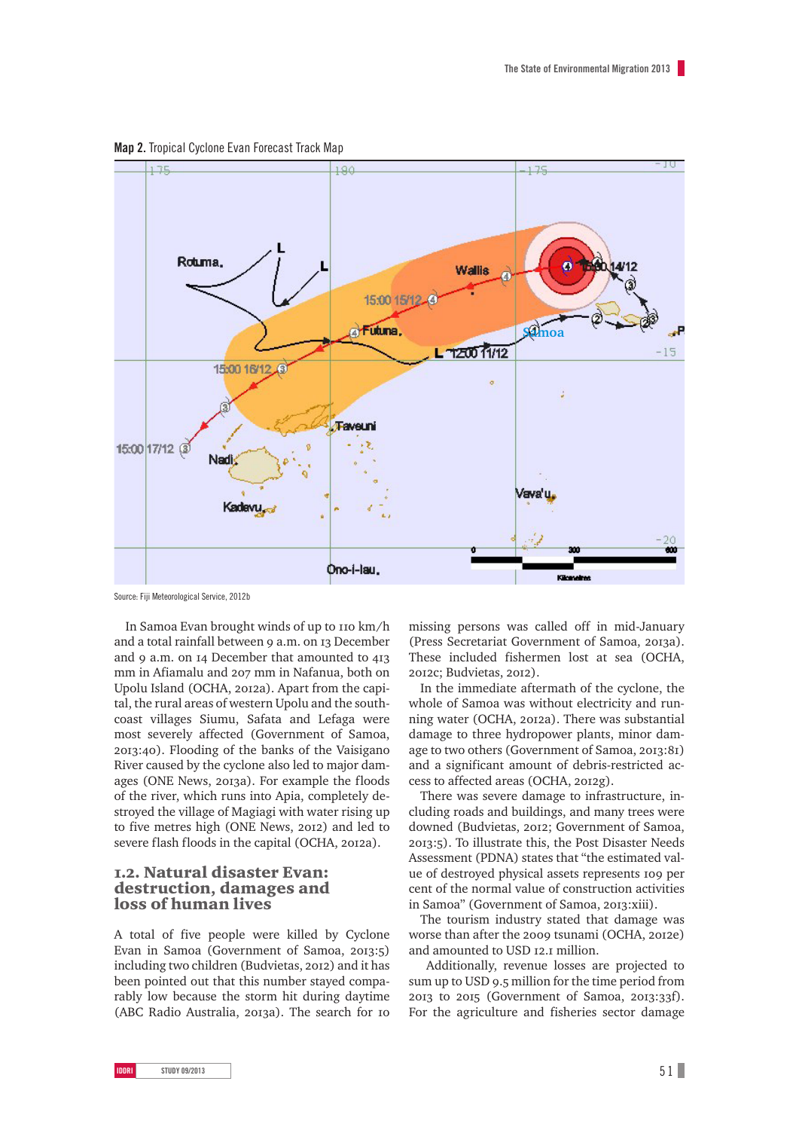

**Map 2.** Tropical Cyclone Evan Forecast Track Map

Source: Fiji Meteorological Service, 2012b

In Samoa Evan brought winds of up to 110 km/h and a total rainfall between 9 a.m. on 13 December and  $9$  a.m. on  $14$  December that amounted to  $413$ mm in Afiamalu and 207 mm in Nafanua, both on Upolu Island (OCHA, 2012a). Apart from the capital, the rural areas of western Upolu and the southcoast villages Siumu, Safata and Lefaga were most severely affected (Government of Samoa, :). Flooding of the banks of the Vaisigano River caused by the cyclone also led to major damages (ONE News, 2013a). For example the floods of the river, which runs into Apia, completely destroyed the village of Magiagi with water rising up to five metres high (ONE News, 2012) and led to severe flash floods in the capital (OCHA, 2012a).

### .. Natural disaster Evan: destruction, damages and loss of human lives

A total of five people were killed by Cyclone Evan in Samoa (Government of Samoa, 2013:5) including two children (Budvietas, 2012) and it has been pointed out that this number stayed comparably low because the storm hit during daytime (ABC Radio Australia, 2013a). The search for 10 missing persons was called off in mid-January (Press Secretariat Government of Samoa, 2013a). These included fishermen lost at sea (OCHA, 2012c; Budvietas, 2012).

In the immediate aftermath of the cyclone, the whole of Samoa was without electricity and running water (OCHA, 2012a). There was substantial damage to three hydropower plants, minor damage to two others (Government of Samoa, 2013:81) and a significant amount of debris-restricted access to affected areas (OCHA, 2012g).

There was severe damage to infrastructure, including roads and buildings, and many trees were downed (Budvietas, 2012; Government of Samoa, :). To illustrate this, the Post Disaster Needs Assessment (PDNA) states that "the estimated value of destroyed physical assets represents 109 per cent of the normal value of construction activities in Samoa" (Government of Samoa, 2013:xiii).

The tourism industry stated that damage was worse than after the 2009 tsunami (OCHA, 2012e) and amounted to USD 12.1 million.

 Additionally, revenue losses are projected to sum up to USD 9.5 million for the time period from  $20I3$  to  $20I5$  (Government of Samoa,  $20I3:33f$ ). For the agriculture and fisheries sector damage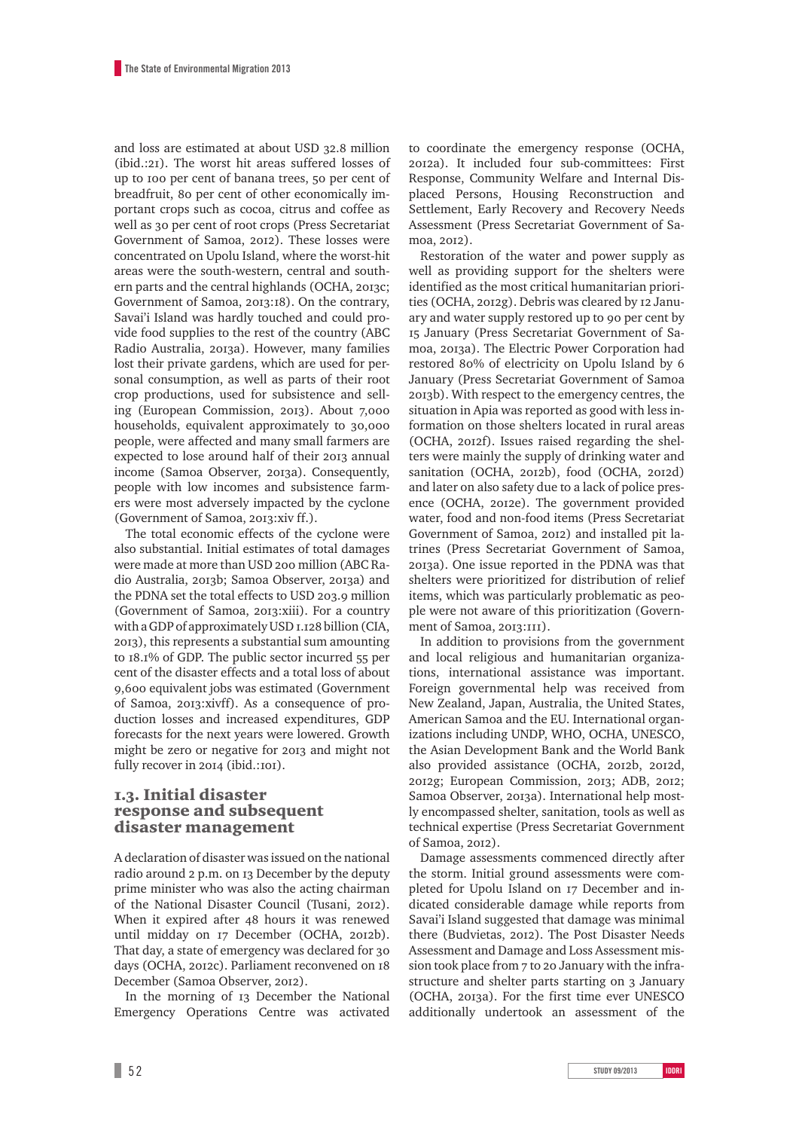and loss are estimated at about USD 32.8 million  $(ibid..21)$ . The worst hit areas suffered losses of up to 100 per cent of banana trees, 50 per cent of breadfruit, 80 per cent of other economically important crops such as cocoa, citrus and coffee as well as 30 per cent of root crops (Press Secretariat Government of Samoa, 2012). These losses were concentrated on Upolu Island, where the worst-hit areas were the south-western, central and southern parts and the central highlands (OCHA, 2013c; Government of Samoa, 2013:18). On the contrary, Savai'i Island was hardly touched and could provide food supplies to the rest of the country (ABC Radio Australia, 2013a). However, many families lost their private gardens, which are used for personal consumption, as well as parts of their root crop productions, used for subsistence and selling (European Commission, 2013). About 7,000 households, equivalent approximately to 30,000 people, were affected and many small farmers are expected to lose around half of their 2013 annual income (Samoa Observer, 2013a). Consequently, people with low incomes and subsistence farmers were most adversely impacted by the cyclone (Government of Samoa, 2013: xiv ff.).

The total economic effects of the cyclone were also substantial. Initial estimates of total damages were made at more than USD 200 million (ABC Radio Australia, 2013b; Samoa Observer, 2013a) and the PDNA set the total effects to USD 203.9 million (Government of Samoa, 2013; xiii). For a country with a GDP of approximately USD  $I.I28$  billion (CIA, ), this represents a substantial sum amounting to  $18.1\%$  of GDP. The public sector incurred  $55$  per cent of the disaster effects and a total loss of about 9,600 equivalent jobs was estimated (Government of Samoa, 2013: xivff). As a consequence of production losses and increased expenditures, GDP forecasts for the next years were lowered. Growth might be zero or negative for 2013 and might not fully recover in 2014 (ibid.:101).

### .. Initial disaster response and subsequent disaster management

A declaration of disaster was issued on the national radio around 2 p.m. on 13 December by the deputy prime minister who was also the acting chairman of the National Disaster Council (Tusani, 2012). When it expired after 48 hours it was renewed until midday on 17 December (OCHA, 2012b). That day, a state of emergency was declared for 30 days (OCHA, 2012c). Parliament reconvened on 18 December (Samoa Observer, 2012).

In the morning of 13 December the National Emergency Operations Centre was activated to coordinate the emergency response (OCHA, a). It included four sub-committees: First Response, Community Welfare and Internal Displaced Persons, Housing Reconstruction and Settlement, Early Recovery and Recovery Needs Assessment (Press Secretariat Government of Samoa, 2012).

Restoration of the water and power supply as well as providing support for the shelters were identified as the most critical humanitarian priorities (OCHA, 2012g). Debris was cleared by 12 January and water supply restored up to 90 per cent by January (Press Secretariat Government of Samoa, 2013a). The Electric Power Corporation had restored 80% of electricity on Upolu Island by 6 January (Press Secretariat Government of Samoa b). With respect to the emergency centres, the situation in Apia was reported as good with less information on those shelters located in rural areas (OCHA, 2012f). Issues raised regarding the shelters were mainly the supply of drinking water and sanitation (OCHA, 2012b), food (OCHA, 2012d) and later on also safety due to a lack of police presence (OCHA, 2012e). The government provided water, food and non-food items (Press Secretariat Government of Samoa, 2012) and installed pit latrines (Press Secretariat Government of Samoa, a). One issue reported in the PDNA was that shelters were prioritized for distribution of relief items, which was particularly problematic as people were not aware of this prioritization (Government of Samoa, 2013:111).

In addition to provisions from the government and local religious and humanitarian organizations, international assistance was important. Foreign governmental help was received from New Zealand, Japan, Australia, the United States, American Samoa and the EU. International organizations including UNDP, WHO, OCHA, UNESCO, the Asian Development Bank and the World Bank also provided assistance (OCHA, 2012b, 2012d, 2012g; European Commission, 2013; ADB, 2012; Samoa Observer, 2013a). International help mostly encompassed shelter, sanitation, tools as well as technical expertise (Press Secretariat Government of Samoa, 2012).

Damage assessments commenced directly after the storm. Initial ground assessments were completed for Upolu Island on 17 December and indicated considerable damage while reports from Savai'i Island suggested that damage was minimal there (Budvietas, 2012). The Post Disaster Needs Assessment and Damage and Loss Assessment mission took place from 7 to 20 January with the infrastructure and shelter parts starting on January (OCHA, 2013a). For the first time ever UNESCO additionally undertook an assessment of the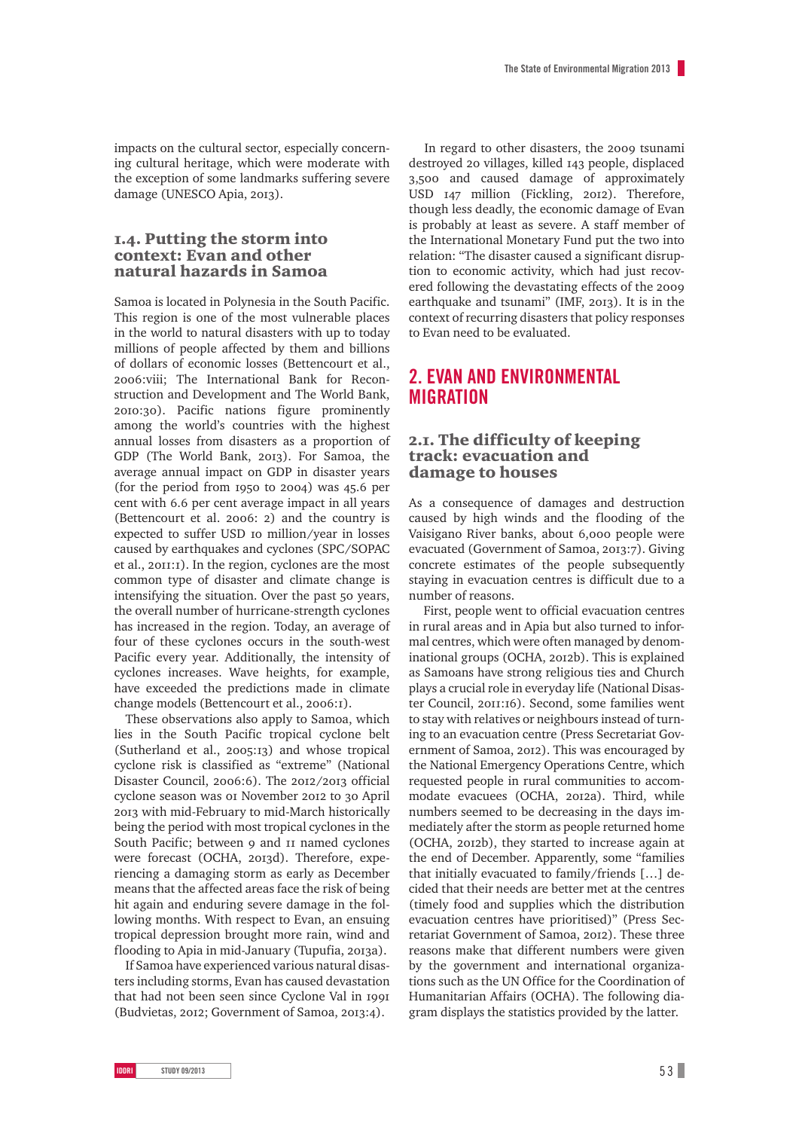impacts on the cultural sector, especially concerning cultural heritage, which were moderate with the exception of some landmarks suffering severe damage (UNESCO Apia, 2013).

### .. Putting the storm into context: Evan and other natural hazards in Samoa

Samoa is located in Polynesia in the South Pacific. This region is one of the most vulnerable places in the world to natural disasters with up to today millions of people affected by them and billions of dollars of economic losses (Bettencourt et al., 2006: viii: The International Bank for Reconstruction and Development and The World Bank, :). Pacific nations figure prominently among the world's countries with the highest annual losses from disasters as a proportion of GDP (The World Bank, 2013). For Samoa, the average annual impact on GDP in disaster years (for the period from  $1950$  to 2004) was  $45.6$  per cent with 6.6 per cent average impact in all years (Bettencourt et al.  $2006$ : 2) and the country is expected to suffer USD Io million/year in losses caused by earthquakes and cyclones (SPC/SOPAC et al., 2011:1). In the region, cyclones are the most common type of disaster and climate change is intensifying the situation. Over the past 50 years, the overall number of hurricane-strength cyclones has increased in the region. Today, an average of four of these cyclones occurs in the south-west Pacific every year. Additionally, the intensity of cyclones increases. Wave heights, for example, have exceeded the predictions made in climate change models (Bettencourt et al., 2006:1).

These observations also apply to Samoa, which lies in the South Pacific tropical cyclone belt (Sutherland et al., 2005:13) and whose tropical cyclone risk is classified as "extreme" (National Disaster Council, 2006:6). The 2012/2013 official cyclone season was or November 2012 to 30 April 2013 with mid-February to mid-March historically being the period with most tropical cyclones in the South Pacific; between 9 and II named cyclones were forecast (OCHA, 2013d). Therefore, experiencing a damaging storm as early as December means that the affected areas face the risk of being hit again and enduring severe damage in the following months. With respect to Evan, an ensuing tropical depression brought more rain, wind and flooding to Apia in mid-January (Tupufia, 2013a).

If Samoa have experienced various natural disasters including storms, Evan has caused devastation that had not been seen since Cyclone Val in (Budvietas, 2012; Government of Samoa, 2013:4).

In regard to other disasters, the 2009 tsunami destroyed 20 villages, killed 143 people, displaced 3,500 and caused damage of approximately USD 147 million (Fickling, 2012). Therefore, though less deadly, the economic damage of Evan is probably at least as severe. A staff member of the International Monetary Fund put the two into relation: "The disaster caused a significant disruption to economic activity, which had just recovered following the devastating effects of the earthquake and tsunami" (IMF, 2013). It is in the context of recurring disasters that policy responses to Evan need to be evaluated.

## **2. EVAN AND ENVIRONMENTAL MIGRATION**

### .. The difficulty of keeping track: evacuation and damage to houses

As a consequence of damages and destruction caused by high winds and the flooding of the Vaisigano River banks, about 6,000 people were evacuated (Government of Samoa, 2013:7). Giving concrete estimates of the people subsequently staying in evacuation centres is difficult due to a number of reasons.

 First, people went to official evacuation centres in rural areas and in Apia but also turned to informal centres, which were often managed by denominational groups (OCHA, 2012b). This is explained as Samoans have strong religious ties and Church plays a crucial role in everyday life (National Disaster Council, 2011;16). Second, some families went to stay with relatives or neighbours instead of turning to an evacuation centre (Press Secretariat Government of Samoa, 2012). This was encouraged by the National Emergency Operations Centre, which requested people in rural communities to accommodate evacuees (OCHA, 2012a). Third, while numbers seemed to be decreasing in the days immediately after the storm as people returned home (OCHA, 2012b), they started to increase again at the end of December. Apparently, some "families that initially evacuated to family/friends […] decided that their needs are better met at the centres (timely food and supplies which the distribution evacuation centres have prioritised)" (Press Secretariat Government of Samoa, 2012). These three reasons make that different numbers were given by the government and international organizations such as the UN Office for the Coordination of Humanitarian Affairs (OCHA). The following diagram displays the statistics provided by the latter.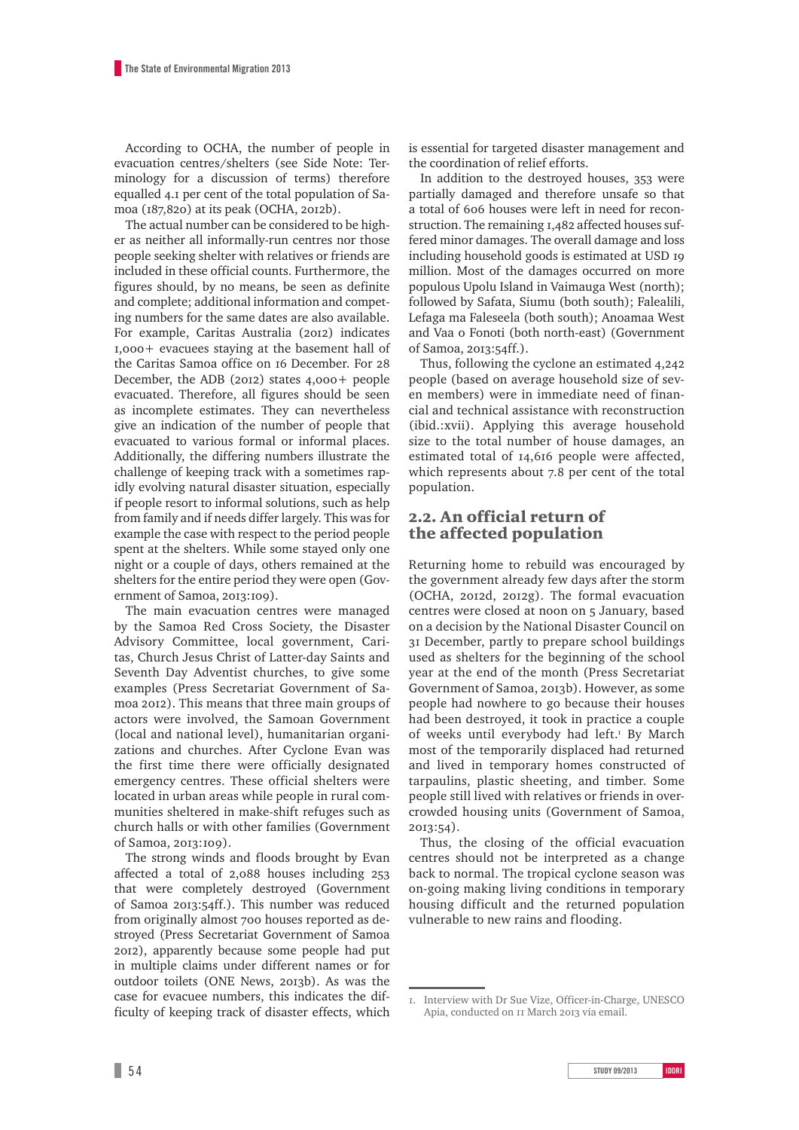According to OCHA, the number of people in evacuation centres/shelters (see Side Note: Terminology for a discussion of terms) therefore equalled 4.1 per cent of the total population of Samoa (187,820) at its peak (OCHA, 2012b).

The actual number can be considered to be higher as neither all informally-run centres nor those people seeking shelter with relatives or friends are included in these official counts. Furthermore, the figures should, by no means, be seen as definite and complete; additional information and competing numbers for the same dates are also available. For example, Caritas Australia (2012) indicates  $1,000+$  evacuees staying at the basement hall of the Caritas Samoa office on 16 December. For 28 December, the ADB  $(20I2)$  states  $4.000 +$  people evacuated. Therefore, all figures should be seen as incomplete estimates. They can nevertheless give an indication of the number of people that evacuated to various formal or informal places. Additionally, the differing numbers illustrate the challenge of keeping track with a sometimes rapidly evolving natural disaster situation, especially if people resort to informal solutions, such as help from family and if needs differ largely. This was for example the case with respect to the period people spent at the shelters. While some stayed only one night or a couple of days, others remained at the shelters for the entire period they were open (Government of Samoa, 2013:109).

The main evacuation centres were managed by the Samoa Red Cross Society, the Disaster Advisory Committee, local government, Caritas, Church Jesus Christ of Latter-day Saints and Seventh Day Adventist churches, to give some examples (Press Secretariat Government of Samoa 2012). This means that three main groups of actors were involved, the Samoan Government (local and national level), humanitarian organizations and churches. After Cyclone Evan was the first time there were officially designated emergency centres. These official shelters were located in urban areas while people in rural communities sheltered in make-shift refuges such as church halls or with other families (Government of Samoa, 2013:109).

The strong winds and floods brought by Evan affected a total of  $2,088$  houses including  $253$ that were completely destroyed (Government of Samoa 2013:54ff.). This number was reduced from originally almost 700 houses reported as destroyed (Press Secretariat Government of Samoa ), apparently because some people had put in multiple claims under different names or for outdoor toilets (ONE News, 2013b). As was the case for evacuee numbers, this indicates the difficulty of keeping track of disaster effects, which is essential for targeted disaster management and the coordination of relief efforts.

In addition to the destroyed houses, 353 were partially damaged and therefore unsafe so that a total of 606 houses were left in need for reconstruction. The remaining 1,482 affected houses suffered minor damages. The overall damage and loss including household goods is estimated at USD million. Most of the damages occurred on more populous Upolu Island in Vaimauga West (north); followed by Safata, Siumu (both south); Falealili, Lefaga ma Faleseela (both south); Anoamaa West and Vaa o Fonoti (both north-east) (Government of Samoa, 2013:54ff.).

Thus, following the cyclone an estimated 4,242 people (based on average household size of seven members) were in immediate need of financial and technical assistance with reconstruction (ibid.:xvii). Applying this average household size to the total number of house damages, an estimated total of 14,616 people were affected, which represents about 7.8 per cent of the total population.

### 2.2. An official return of the affected population

Returning home to rebuild was encouraged by the government already few days after the storm (OCHA, 2012d, 2012g). The formal evacuation centres were closed at noon on January, based on a decision by the National Disaster Council on 31 December, partly to prepare school buildings used as shelters for the beginning of the school year at the end of the month (Press Secretariat Government of Samoa, 2013b). However, as some people had nowhere to go because their houses had been destroyed, it took in practice a couple of weeks until everybody had left. By March most of the temporarily displaced had returned and lived in temporary homes constructed of tarpaulins, plastic sheeting, and timber. Some people still lived with relatives or friends in overcrowded housing units (Government of Samoa, 2013:54).

Thus, the closing of the official evacuation centres should not be interpreted as a change back to normal. The tropical cyclone season was on-going making living conditions in temporary housing difficult and the returned population vulnerable to new rains and flooding.

<sup>.</sup> Interview with Dr Sue Vize, Officer-in-Charge, UNESCO Apia, conducted on II March 2013 via email.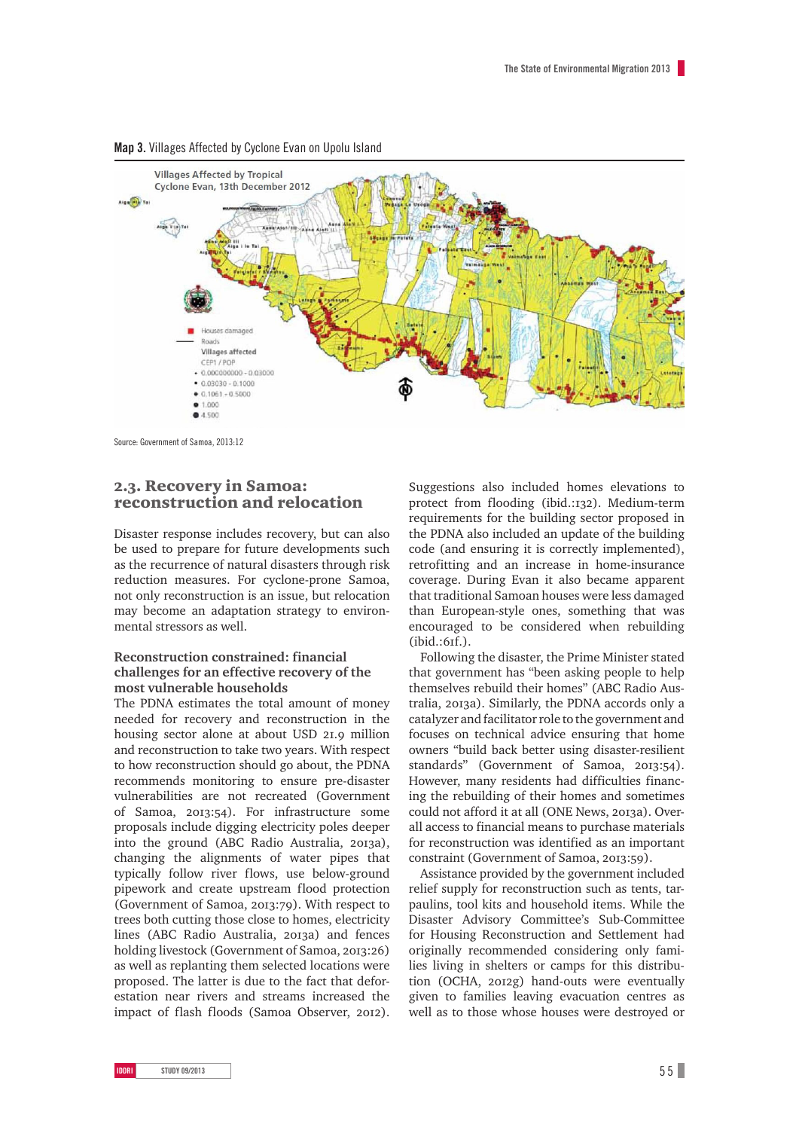

#### **Map 3.** Villages Affected by Cyclone Evan on Upolu Island

Source: Government of Samoa, 2013:12

### 2.3. Recovery in Samoa: reconstruction and relocation

Disaster response includes recovery, but can also be used to prepare for future developments such as the recurrence of natural disasters through risk reduction measures. For cyclone-prone Samoa, not only reconstruction is an issue, but relocation may become an adaptation strategy to environmental stressors as well.

### **Reconstruction constrained: financial challenges for an effective recovery of the most vulnerable households**

The PDNA estimates the total amount of money needed for recovery and reconstruction in the housing sector alone at about USD 21.9 million and reconstruction to take two years. With respect to how reconstruction should go about, the PDNA recommends monitoring to ensure pre-disaster vulnerabilities are not recreated (Government of Samoa, 2013:54). For infrastructure some proposals include digging electricity poles deeper into the ground (ABC Radio Australia, 2013a), changing the alignments of water pipes that typically follow river flows, use below-ground pipework and create upstream flood protection (Government of Samoa, 2013:79). With respect to trees both cutting those close to homes, electricity lines (ABC Radio Australia, 2013a) and fences holding livestock (Government of Samoa, 2013:26) as well as replanting them selected locations were proposed. The latter is due to the fact that deforestation near rivers and streams increased the impact of flash floods (Samoa Observer, 2012).

Suggestions also included homes elevations to protect from flooding (ibid.:132). Medium-term requirements for the building sector proposed in the PDNA also included an update of the building code (and ensuring it is correctly implemented), retrofitting and an increase in home-insurance coverage. During Evan it also became apparent that traditional Samoan houses were less damaged than European-style ones, something that was encouraged to be considered when rebuilding  $(ibid.:6if.).$ 

Following the disaster, the Prime Minister stated that government has "been asking people to help themselves rebuild their homes" (ABC Radio Australia, 2013a). Similarly, the PDNA accords only a catalyzer and facilitator role to the government and focuses on technical advice ensuring that home owners "build back better using disaster-resilient standards" (Government of Samoa, 2013:54). However, many residents had difficulties financing the rebuilding of their homes and sometimes could not afford it at all (ONE News, 2013a). Overall access to financial means to purchase materials for reconstruction was identified as an important constraint (Government of Samoa, 2013:59).

Assistance provided by the government included relief supply for reconstruction such as tents, tarpaulins, tool kits and household items. While the Disaster Advisory Committee's Sub-Committee for Housing Reconstruction and Settlement had originally recommended considering only families living in shelters or camps for this distribution (OCHA, 2012g) hand-outs were eventually given to families leaving evacuation centres as well as to those whose houses were destroyed or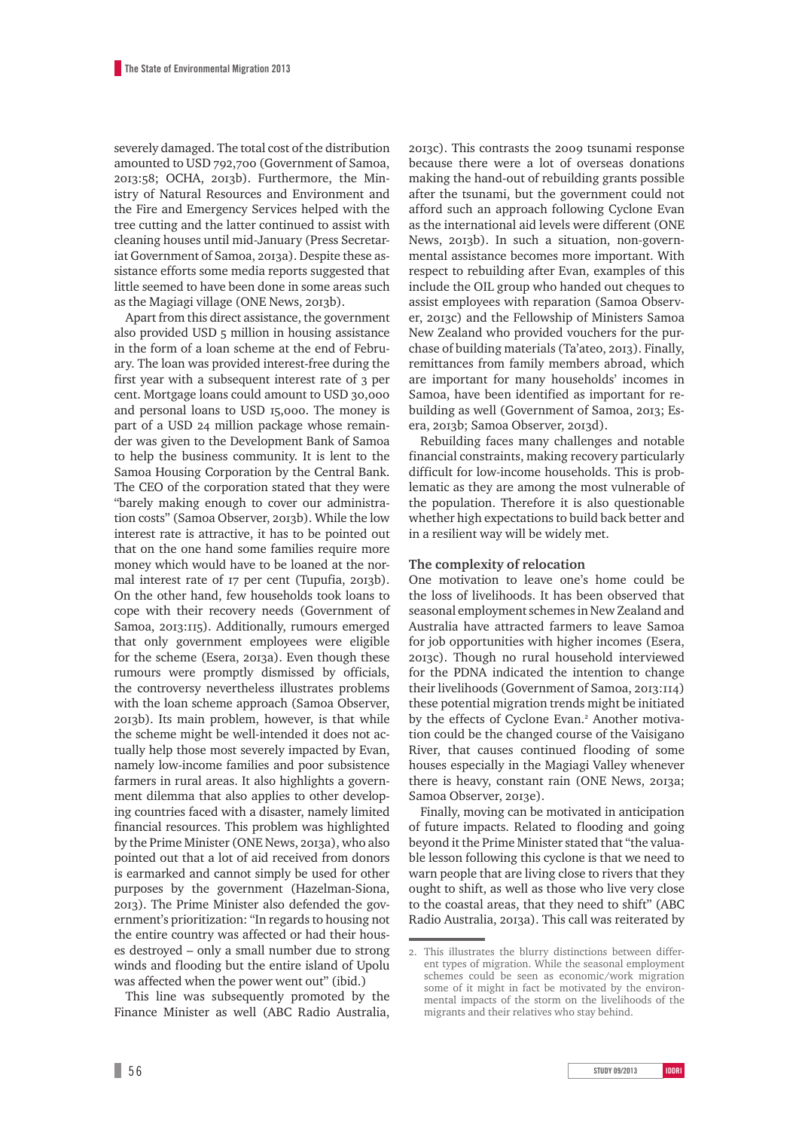severely damaged. The total cost of the distribution amounted to USD 792,700 (Government of Samoa, 2013:58; OCHA, 2013b). Furthermore, the Ministry of Natural Resources and Environment and the Fire and Emergency Services helped with the tree cutting and the latter continued to assist with cleaning houses until mid-January (Press Secretariat Government of Samoa, 2013a). Despite these assistance efforts some media reports suggested that little seemed to have been done in some areas such as the Magiagi village (ONE News, 2013b).

Apart from this direct assistance, the government also provided USD 5 million in housing assistance in the form of a loan scheme at the end of February. The loan was provided interest-free during the first year with a subsequent interest rate of 3 per cent. Mortgage loans could amount to USD 30,000 and personal loans to USD 15,000. The money is part of a USD 24 million package whose remainder was given to the Development Bank of Samoa to help the business community. It is lent to the Samoa Housing Corporation by the Central Bank. The CEO of the corporation stated that they were "barely making enough to cover our administration costs" (Samoa Observer, 2013b). While the low interest rate is attractive, it has to be pointed out that on the one hand some families require more money which would have to be loaned at the normal interest rate of 17 per cent (Tupufia, 2013b). On the other hand, few households took loans to cope with their recovery needs (Government of Samoa, 2013:115). Additionally, rumours emerged that only government employees were eligible for the scheme (Esera, 2013a). Even though these rumours were promptly dismissed by officials, the controversy nevertheless illustrates problems with the loan scheme approach (Samoa Observer, b). Its main problem, however, is that while the scheme might be well-intended it does not actually help those most severely impacted by Evan, namely low-income families and poor subsistence farmers in rural areas. It also highlights a government dilemma that also applies to other developing countries faced with a disaster, namely limited financial resources. This problem was highlighted by the Prime Minister (ONE News, 2013a), who also pointed out that a lot of aid received from donors is earmarked and cannot simply be used for other purposes by the government (Hazelman-Siona, ). The Prime Minister also defended the government's prioritization: "In regards to housing not the entire country was affected or had their houses destroyed – only a small number due to strong winds and flooding but the entire island of Upolu was affected when the power went out" (ibid.)

This line was subsequently promoted by the Finance Minister as well (ABC Radio Australia, 2013c). This contrasts the 2009 tsunami response because there were a lot of overseas donations making the hand-out of rebuilding grants possible after the tsunami, but the government could not afford such an approach following Cyclone Evan as the international aid levels were different (ONE News, 2013b). In such a situation, non-governmental assistance becomes more important. With respect to rebuilding after Evan, examples of this include the OIL group who handed out cheques to assist employees with reparation (Samoa Observer, 2013c) and the Fellowship of Ministers Samoa New Zealand who provided vouchers for the purchase of building materials (Ta'ateo, 2013). Finally, remittances from family members abroad, which are important for many households' incomes in Samoa, have been identified as important for rebuilding as well (Government of Samoa, 2013; Esera, 2013b; Samoa Observer, 2013d).

Rebuilding faces many challenges and notable financial constraints, making recovery particularly difficult for low-income households. This is problematic as they are among the most vulnerable of the population. Therefore it is also questionable whether high expectations to build back better and in a resilient way will be widely met.

#### **The complexity of relocation**

One motivation to leave one's home could be the loss of livelihoods. It has been observed that seasonal employment schemes in New Zealand and Australia have attracted farmers to leave Samoa for job opportunities with higher incomes (Esera, c). Though no rural household interviewed for the PDNA indicated the intention to change their livelihoods (Government of Samoa,  $2013:114$ ) these potential migration trends might be initiated by the effects of Cyclone Evan.<sup>2</sup> Another motivation could be the changed course of the Vaisigano River, that causes continued flooding of some houses especially in the Magiagi Valley whenever there is heavy, constant rain (ONE News, 2013a; Samoa Observer, 2013e).

Finally, moving can be motivated in anticipation of future impacts. Related to flooding and going beyond it the Prime Minister stated that "the valuable lesson following this cyclone is that we need to warn people that are living close to rivers that they ought to shift, as well as those who live very close to the coastal areas, that they need to shift" (ABC Radio Australia, 2013a). This call was reiterated by

<sup>.</sup> This illustrates the blurry distinctions between different types of migration. While the seasonal employment schemes could be seen as economic/work migration some of it might in fact be motivated by the environmental impacts of the storm on the livelihoods of the migrants and their relatives who stay behind.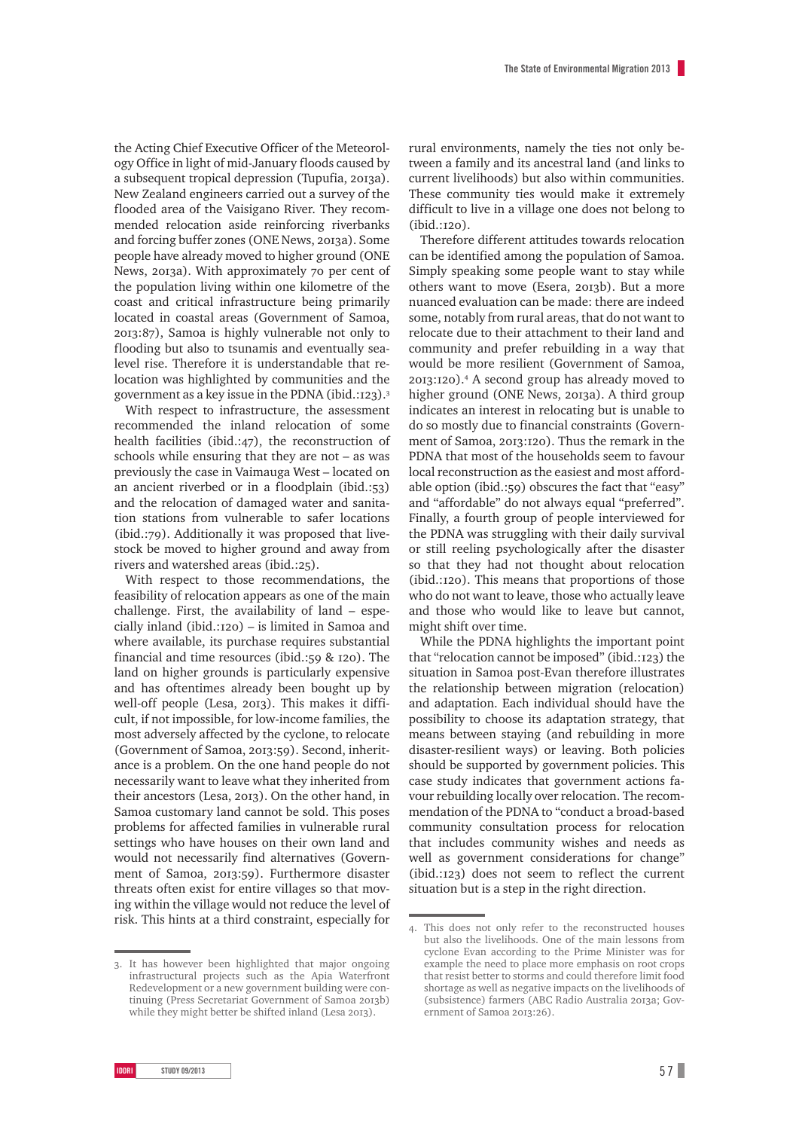the Acting Chief Executive Officer of the Meteorology Office in light of mid-January floods caused by a subsequent tropical depression (Tupufia, 2013a). New Zealand engineers carried out a survey of the flooded area of the Vaisigano River. They recommended relocation aside reinforcing riverbanks and forcing buffer zones (ONE News, 2013a). Some people have already moved to higher ground (ONE News, 2013a). With approximately 70 per cent of the population living within one kilometre of the coast and critical infrastructure being primarily located in coastal areas (Government of Samoa, :), Samoa is highly vulnerable not only to flooding but also to tsunamis and eventually sealevel rise. Therefore it is understandable that relocation was highlighted by communities and the government as a key issue in the PDNA (ibid.: $123$ ).<sup>3</sup>

With respect to infrastructure, the assessment recommended the inland relocation of some health facilities (ibid.:47), the reconstruction of schools while ensuring that they are not – as was previously the case in Vaimauga West – located on an ancient riverbed or in a floodplain (ibid.: $53$ ) and the relocation of damaged water and sanitation stations from vulnerable to safer locations  $(ibid.:79)$ . Additionally it was proposed that livestock be moved to higher ground and away from rivers and watershed areas (ibid.:25).

With respect to those recommendations, the feasibility of relocation appears as one of the main challenge. First, the availability of land – especially inland (ibid.: $120$ ) – is limited in Samoa and where available, its purchase requires substantial financial and time resources (ibid.:  $59 & 120$ ). The land on higher grounds is particularly expensive and has oftentimes already been bought up by well-off people (Lesa, 2013). This makes it difficult, if not impossible, for low-income families, the most adversely affected by the cyclone, to relocate (Government of Samoa, 2013:59). Second, inheritance is a problem. On the one hand people do not necessarily want to leave what they inherited from their ancestors (Lesa, 2013). On the other hand, in Samoa customary land cannot be sold. This poses problems for affected families in vulnerable rural settings who have houses on their own land and would not necessarily find alternatives (Government of Samoa, 2013:59). Furthermore disaster threats often exist for entire villages so that moving within the village would not reduce the level of risk. This hints at a third constraint, especially for

. It has however been highlighted that major ongoing infrastructural projects such as the Apia Waterfront Redevelopment or a new government building were continuing (Press Secretariat Government of Samoa 2013b) while they might better be shifted inland (Lesa 2013).

rural environments, namely the ties not only between a family and its ancestral land (and links to current livelihoods) but also within communities. These community ties would make it extremely difficult to live in a village one does not belong to  $(ibid.:I20).$ 

Therefore different attitudes towards relocation can be identified among the population of Samoa. Simply speaking some people want to stay while others want to move (Esera, 2013b). But a more nuanced evaluation can be made: there are indeed some, notably from rural areas, that do not want to relocate due to their attachment to their land and community and prefer rebuilding in a way that would be more resilient (Government of Samoa, 2013:120).<sup>4</sup> A second group has already moved to higher ground (ONE News, 2013a). A third group indicates an interest in relocating but is unable to do so mostly due to financial constraints (Government of Samoa, 2013;120). Thus the remark in the PDNA that most of the households seem to favour local reconstruction as the easiest and most affordable option (ibid.:59) obscures the fact that "easy" and "affordable" do not always equal "preferred". Finally, a fourth group of people interviewed for the PDNA was struggling with their daily survival or still reeling psychologically after the disaster so that they had not thought about relocation  $(ibid.:120)$ . This means that proportions of those who do not want to leave, those who actually leave and those who would like to leave but cannot, might shift over time.

While the PDNA highlights the important point that "relocation cannot be imposed" (ibid.: $123$ ) the situation in Samoa post-Evan therefore illustrates the relationship between migration (relocation) and adaptation. Each individual should have the possibility to choose its adaptation strategy, that means between staying (and rebuilding in more disaster-resilient ways) or leaving. Both policies should be supported by government policies. This case study indicates that government actions favour rebuilding locally over relocation. The recommendation of the PDNA to "conduct a broad-based community consultation process for relocation that includes community wishes and needs as well as government considerations for change"  $(ibid.:123)$  does not seem to reflect the current situation but is a step in the right direction.

<sup>.</sup> This does not only refer to the reconstructed houses but also the livelihoods. One of the main lessons from cyclone Evan according to the Prime Minister was for example the need to place more emphasis on root crops that resist better to storms and could therefore limit food shortage as well as negative impacts on the livelihoods of (subsistence) farmers (ABC Radio Australia 2013a; Government of Samoa 2013:26).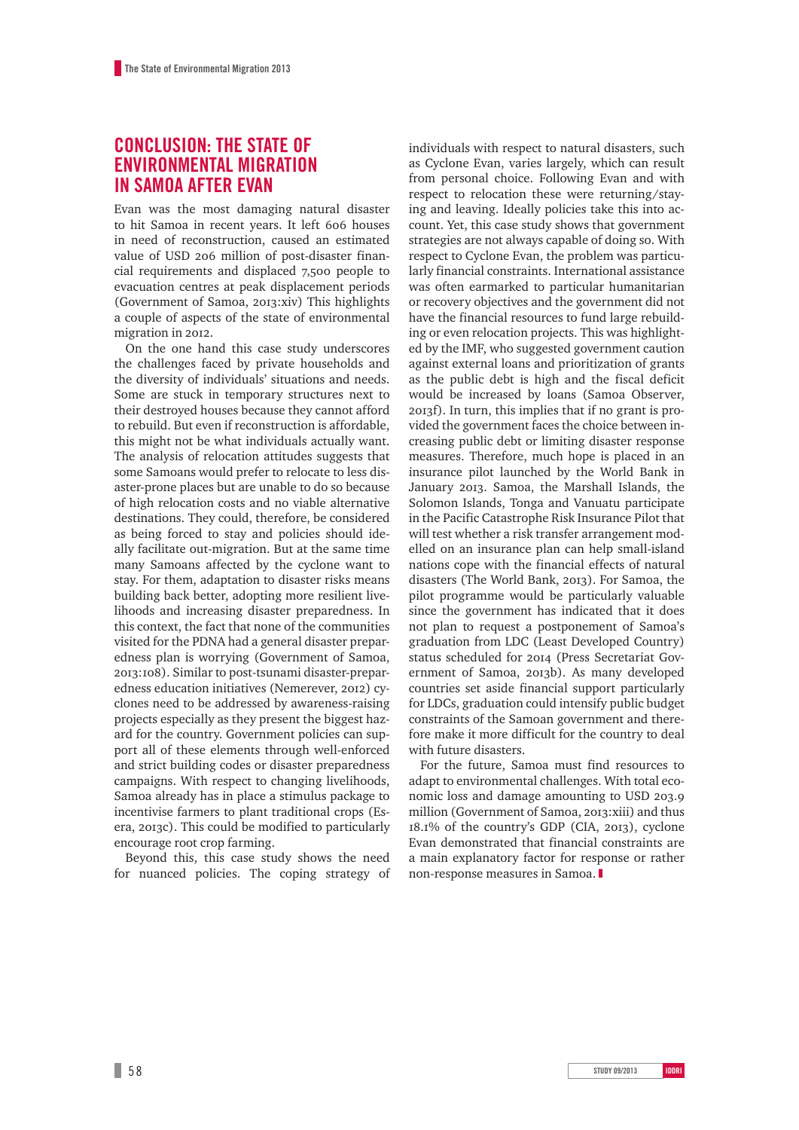## **CONCLUSION: THE STATE OF ENVIRONMENTAL MIGRATION IN SAMOA AFTER EVAN**

Evan was the most damaging natural disaster to hit Samoa in recent years. It left 606 houses in need of reconstruction, caused an estimated value of USD 206 million of post-disaster financial requirements and displaced 7,500 people to evacuation centres at peak displacement periods (Government of Samoa, 2013:xiv) This highlights a couple of aspects of the state of environmental migration in 2012.

On the one hand this case study underscores the challenges faced by private households and the diversity of individuals' situations and needs. Some are stuck in temporary structures next to their destroyed houses because they cannot afford to rebuild. But even if reconstruction is affordable, this might not be what individuals actually want. The analysis of relocation attitudes suggests that some Samoans would prefer to relocate to less disaster-prone places but are unable to do so because of high relocation costs and no viable alternative destinations. They could, therefore, be considered as being forced to stay and policies should ideally facilitate out-migration. But at the same time many Samoans affected by the cyclone want to stay. For them, adaptation to disaster risks means building back better, adopting more resilient livelihoods and increasing disaster preparedness. In this context, the fact that none of the communities visited for the PDNA had a general disaster preparedness plan is worrying (Government of Samoa, :). Similar to post-tsunami disaster-preparedness education initiatives (Nemerever, 2012) cyclones need to be addressed by awareness-raising projects especially as they present the biggest hazard for the country. Government policies can support all of these elements through well-enforced and strict building codes or disaster preparedness campaigns. With respect to changing livelihoods, Samoa already has in place a stimulus package to incentivise farmers to plant traditional crops (Esera, 2013c). This could be modified to particularly encourage root crop farming.

Beyond this, this case study shows the need for nuanced policies. The coping strategy of individuals with respect to natural disasters, such as Cyclone Evan, varies largely, which can result from personal choice. Following Evan and with respect to relocation these were returning/staying and leaving. Ideally policies take this into account. Yet, this case study shows that government strategies are not always capable of doing so. With respect to Cyclone Evan, the problem was particularly financial constraints. International assistance was often earmarked to particular humanitarian or recovery objectives and the government did not have the financial resources to fund large rebuilding or even relocation projects. This was highlighted by the IMF, who suggested government caution against external loans and prioritization of grants as the public debt is high and the fiscal deficit would be increased by loans (Samoa Observer, f). In turn, this implies that if no grant is provided the government faces the choice between increasing public debt or limiting disaster response measures. Therefore, much hope is placed in an insurance pilot launched by the World Bank in January 2013. Samoa, the Marshall Islands, the Solomon Islands, Tonga and Vanuatu participate in the Pacific Catastrophe Risk Insurance Pilot that will test whether a risk transfer arrangement modelled on an insurance plan can help small-island nations cope with the financial effects of natural disasters (The World Bank, 2013). For Samoa, the pilot programme would be particularly valuable since the government has indicated that it does not plan to request a postponement of Samoa's graduation from LDC (Least Developed Country) status scheduled for 2014 (Press Secretariat Government of Samoa, 2013b). As many developed countries set aside financial support particularly for LDCs, graduation could intensify public budget constraints of the Samoan government and therefore make it more difficult for the country to deal with future disasters.

For the future, Samoa must find resources to adapt to environmental challenges. With total economic loss and damage amounting to USD 203.9 million (Government of Samoa, 2013: xiii) and thus 18.1% of the country's GDP (CIA, 2013), cyclone Evan demonstrated that financial constraints are a main explanatory factor for response or rather non-response measures in Samoa. |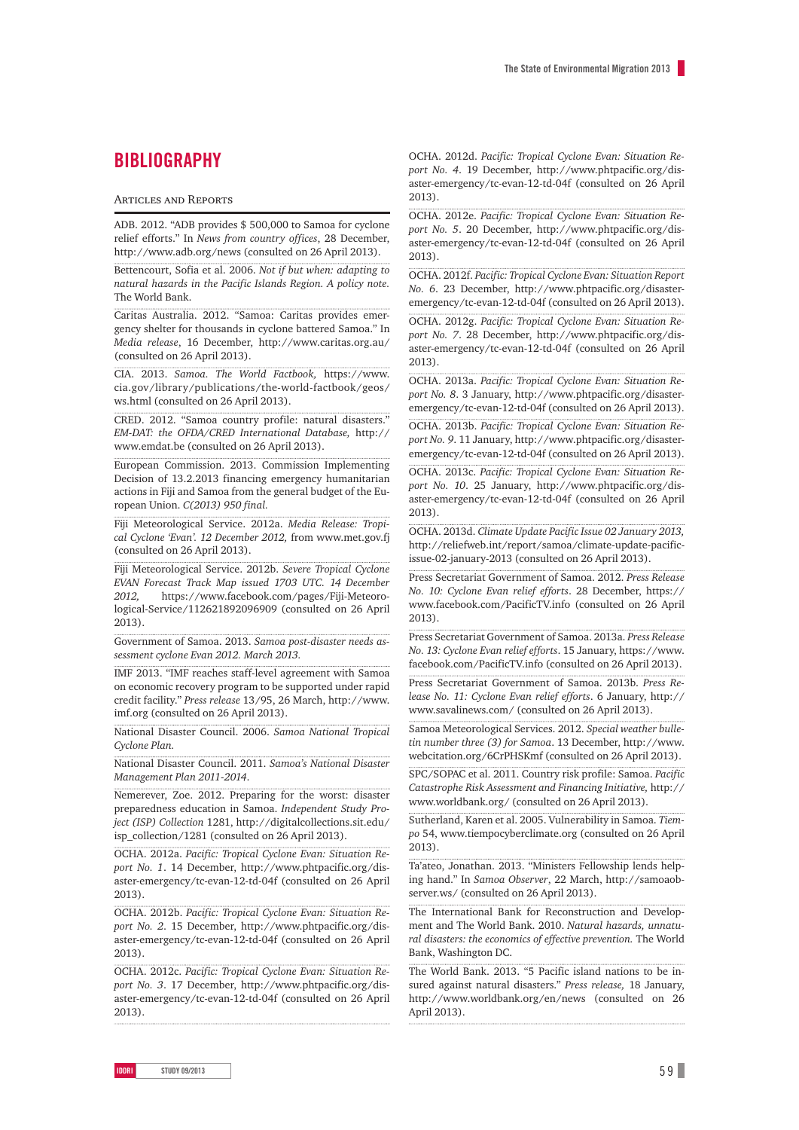## **BIBLIOGRAPHY**

#### **ARTICLES AND REPORTS**

ADB. 2012. "ADB provides \$ 500,000 to Samoa for cyclone relief efforts." In *News from country offices*, 28 December, <http://www.adb.org/news>(consulted on 26 April 2013).

Bettencourt, Sofia et al. 2006. *Not if but when: adapting to natural hazards in the Pacific Islands Region. A policy note.* The World Bank.

Caritas Australia. 2012. "Samoa: Caritas provides emergency shelter for thousands in cyclone battered Samoa." In *Media release*, 16 December, <http://www.caritas.org.au/> (consulted on 26 April 2013).

CIA. 2013. *Samoa. The World Factbook,* [https://www.](https://www.cia.gov/library/publications/the-world-factbook/geos/ws.html) [cia.gov/library/publications/the-world-factbook/geos/](https://www.cia.gov/library/publications/the-world-factbook/geos/ws.html) [ws.html](https://www.cia.gov/library/publications/the-world-factbook/geos/ws.html) (consulted on 26 April 2013).

CRED. 2012. "Samoa country profile: natural disasters." *EM-DAT: the OFDA/CRED International Database,* [http://](http://www.emdat.be) [www.emdat.be](http://www.emdat.be) (consulted on 26 April 2013).

European Commission. 2013. Commission Implementing Decision of 13.2.2013 financing emergency humanitarian actions in Fiji and Samoa from the general budget of the European Union. *C(2013) 950 final.*

Fiji Meteorological Service. 2012a. *Media Release: Tropical Cyclone 'Evan'. 12 December 2012,* from [www.met.gov.fj](http://www.met.gov.fj) (consulted on 26 April 2013).

Fiji Meteorological Service. 2012b. *Severe Tropical Cyclone EVAN Forecast Track Map issued 1703 UTC. 14 December 2012,* [https://www.facebook.com/pages/Fiji-Meteoro](https://www.facebook.com/pages/Fiji-Meteorological-Service/112621892096909)[logical-Service/112621892096909](https://www.facebook.com/pages/Fiji-Meteorological-Service/112621892096909) (consulted on 26 April 2013).

Government of Samoa. 2013. *Samoa post-disaster needs assessment cyclone Evan 2012. March 2013.*

IMF 2013. "IMF reaches staff-level agreement with Samoa on economic recovery program to be supported under rapid credit facility." *Press release* 13/95, 26 March, [http://www.](http://www.imf.org) [imf.org](http://www.imf.org) (consulted on 26 April 2013).

National Disaster Council. 2006. *Samoa National Tropical Cyclone Plan.*

National Disaster Council. 2011. *Samoa's National Disaster Management Plan 2011-2014*.

Nemerever, Zoe. 2012. Preparing for the worst: disaster preparedness education in Samoa. *Independent Study Project (ISP) Collection* 1281, http://digitalcollections.sit.edu/ isp\_collection/1281 (consulted on 26 April 2013).

OCHA. 2012a. *Pacific: Tropical Cyclone Evan: Situation Report No. 1*. 14 December, [http://www.phtpacific.org/dis](http://www.phtpacific.org/disaster-emergency/tc-evan-12-td-04f)[aster-emergency/tc-evan-12-td-04f](http://www.phtpacific.org/disaster-emergency/tc-evan-12-td-04f) (consulted on 26 April 2013).

OCHA. 2012b. *Pacific: Tropical Cyclone Evan: Situation Report No. 2*. 15 December, [http://www.phtpacific.org/dis](http://www.phtpacific.org/disaster-emergency/tc-evan-12-td-04f)[aster-emergency/tc-evan-12-td-04f](http://www.phtpacific.org/disaster-emergency/tc-evan-12-td-04f) (consulted on 26 April 2013).

OCHA. 2012c. *Pacific: Tropical Cyclone Evan: Situation Report No. 3*. 17 December, [http://www.phtpacific.org/dis](http://www.phtpacific.org/disaster-emergency/tc-evan-12-td-04f)[aster-emergency/tc-evan-12-td-04f](http://www.phtpacific.org/disaster-emergency/tc-evan-12-td-04f) (consulted on 26 April 2013).

OCHA. 2012d. *Pacific: Tropical Cyclone Evan: Situation Report No. 4*. 19 December, [http://www.phtpacific.org/dis](http://www.phtpacific.org/disaster-emergency/tc-evan-12-td-04f)[aster-emergency/tc-evan-12-td-04f](http://www.phtpacific.org/disaster-emergency/tc-evan-12-td-04f) (consulted on 26 April 2013).

OCHA. 2012e. *Pacific: Tropical Cyclone Evan: Situation Report No. 5*. 20 December, [http://www.phtpacific.org/dis](http://www.phtpacific.org/disaster-emergency/tc-evan-12-td-04f)[aster-emergency/tc-evan-12-td-04f](http://www.phtpacific.org/disaster-emergency/tc-evan-12-td-04f) (consulted on 26 April 2013).

OCHA. 2012f. *Pacific: Tropical Cyclone Evan: Situation Report No. 6*. 23 December, [http://www.phtpacific.org/disaster](http://www.phtpacific.org/disaster-emergency/tc-evan-12-td-04f)[emergency/tc-evan-12-td-04f](http://www.phtpacific.org/disaster-emergency/tc-evan-12-td-04f) (consulted on 26 April 2013).

OCHA. 2012g. *Pacific: Tropical Cyclone Evan: Situation Report No. 7*. 28 December, [http://www.phtpacific.org/dis](http://www.phtpacific.org/disaster-emergency/tc-evan-12-td-04f)[aster-emergency/tc-evan-12-td-04f](http://www.phtpacific.org/disaster-emergency/tc-evan-12-td-04f) (consulted on 26 April 2013).

OCHA. 2013a. *Pacific: Tropical Cyclone Evan: Situation Report No. 8*. 3 January, [http://www.phtpacific.org/disaster](http://www.phtpacific.org/disaster-emergency/tc-evan-12-td-04f)[emergency/tc-evan-12-td-04f](http://www.phtpacific.org/disaster-emergency/tc-evan-12-td-04f) (consulted on 26 April 2013).

OCHA. 2013b. *Pacific: Tropical Cyclone Evan: Situation Report No. 9*. 11 January, [http://www.phtpacific.org/disaster](http://www.phtpacific.org/disaster-emergency/tc-evan-12-td-04f)[emergency/tc-evan-12-td-04f](http://www.phtpacific.org/disaster-emergency/tc-evan-12-td-04f) (consulted on 26 April 2013).

OCHA. 2013c. *Pacific: Tropical Cyclone Evan: Situation Report No. 10*. 25 January, [http://www.phtpacific.org/dis](http://www.phtpacific.org/disaster-emergency/tc-evan-12-td-04f)[aster-emergency/tc-evan-12-td-04f](http://www.phtpacific.org/disaster-emergency/tc-evan-12-td-04f) (consulted on 26 April 2013).

OCHA. 2013d. *Climate Update Pacific Issue 02 January 2013,*  [http://reliefweb.int/report/samoa/climate-update-pacific](http://reliefweb.int/report/samoa/climate-update-pacific-issue-02-january-2013)[issue-02-january-2013](http://reliefweb.int/report/samoa/climate-update-pacific-issue-02-january-2013) (consulted on 26 April 2013).

Press Secretariat Government of Samoa. 2012. *Press Release No. 10: Cyclone Evan relief efforts*. 28 December, [https://](https://www.facebook.com/PacificTV.info) [www.facebook.com/PacificTV.info](https://www.facebook.com/PacificTV.info) (consulted on 26 April 2013).

Press Secretariat Government of Samoa. 2013a. *Press Release No. 13: Cyclone Evan relief efforts*. 15 January, [https://www.](https://www.facebook.com/PacificTV.info) [facebook.com/PacificTV.info](https://www.facebook.com/PacificTV.info) (consulted on 26 April 2013).

Press Secretariat Government of Samoa. 2013b. *Press Release No. 11: Cyclone Evan relief efforts*. 6 January, [http://](http://www.savalinews.com/) [www.savalinews.com/](http://www.savalinews.com/) (consulted on 26 April 2013).

Samoa Meteorological Services. 2012. *Special weather bulletin number three (3) for Samoa*. 13 December, [http://www.](http://www.webcitation.org/6CrPHSKmf) [webcitation.org/6CrPHSKmf](http://www.webcitation.org/6CrPHSKmf) (consulted on 26 April 2013).

SPC/SOPAC et al. 2011. Country risk profile: Samoa. *Pacific Catastrophe Risk Assessment and Financing Initiative,* http:// www.worldbank.org/ (consulted on 26 April 2013).

Sutherland, Karen et al. 2005. Vulnerability in Samoa. *Tiempo* 54, [www.tiempocyberclimate.org](http://www.tiempocyberclimate.org) (consulted on 26 April 2013).

Ta'ateo, Jonathan. 2013. "Ministers Fellowship lends helping hand." In *Samoa Observer*, 22 March, [http://samoaob](http://samoaobserver.ws/)[server.ws/](http://samoaobserver.ws/) (consulted on 26 April 2013).

The International Bank for Reconstruction and Development and The World Bank. 2010. *Natural hazards, unnatural disasters: the economics of effective prevention.* The World Bank, Washington DC.

The World Bank. 2013. "5 Pacific island nations to be insured against natural disasters." *Press release,* 18 January, <http://www.worldbank.org/en/news> (consulted on 26 April 2013).